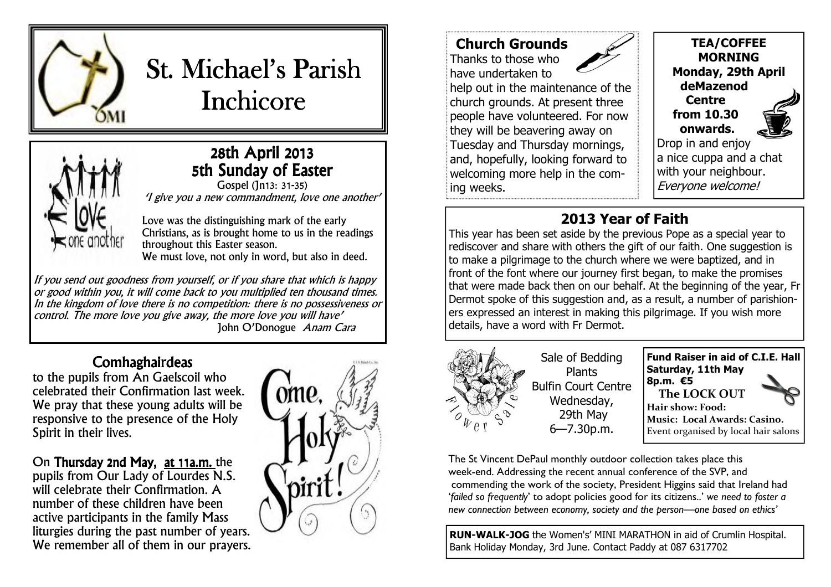

# St. Michael's Parish **Inchicore**



## 28th April 2013 5th Sunday of Easter

Gospel (Jn13: 31-35) 'I give you a new commandment, love one another'

Love was the distinguishing mark of the early Christians, as is brought home to us in the readings throughout this Easter season. We must love, not only in word, but also in deed.

If you send out goodness from yourself, or if you share that which is happy or good within you, it will come back to you multiplied ten thousand times. In the kingdom of love there is no competition: there is no possessiveness or control. The more love you give away, the more love you will have' John O'Donogue *Anam Cara* 

### **Comhaghairdeas**

 to the pupils from An Gaelscoil who celebrated their Confirmation last week. We pray that these young adults will be responsive to the presence of the Holy Spirit in their lives.

# On **Thursday 2nd May,** at 11a.m. the

pupils from Our Lady of Lourdes N.S. will celebrate their Confirmation. A number of these children have been active participants in the family Mass liturgies during the past number of years. We remember all of them in our prayers.



## **Church Grounds**

Thanks to those who have undertaken to

 help out in the maintenance of the church grounds. At present three people have volunteered. For now they will be beavering away on Tuesday and Thursday mornings, and, hopefully, looking forward to welcoming more help in the coming weeks.

**TEA/COFFEE MORNING Monday, 29th April deMazenod Centre from 10.30 onwards.** 

 Drop in and enjoy a nice cuppa and a chat with your neighbour. Everyone welcome!

# **2013 Year of Faith**

 This year has been set aside by the previous Pope as a special year to rediscover and share with others the gift of our faith. One suggestion is to make a pilgrimage to the church where we were baptized, and in front of the font where our journey first began, to make the promises that were made back then on our behalf. At the beginning of the year, Fr Dermot spoke of this suggestion and, as a result, a number of parishioners expressed an interest in making this pilgrimage. If you wish more details, have a word with Fr Dermot.



Sale of Bedding Plants Bulfin Court Centre Wednesday, 29th May 6—7.30p.m.

**Fund Raiser in aid of C.I.E. Hall Saturday, 11th May 8p.m. €5 The LOCK OUT Hair show: Food: Music: Local Awards: Casino.** Event organised by local hair salons

The St Vincent DePaul monthly outdoor collection takes place this week-end. Addressing the recent annual conference of the SVP, and commending the work of the society, President Higgins said that Ireland had '*failed so frequently*' to adopt policies good for its citizens..' *we need to foster a new connection between economy, society and the person—one based on ethics'* 

**RUN-WALK-JOG** the Women's' MINI MARATHON in aid of Crumlin Hospital. Bank Holiday Monday, 3rd June. Contact Paddy at 087 6317702